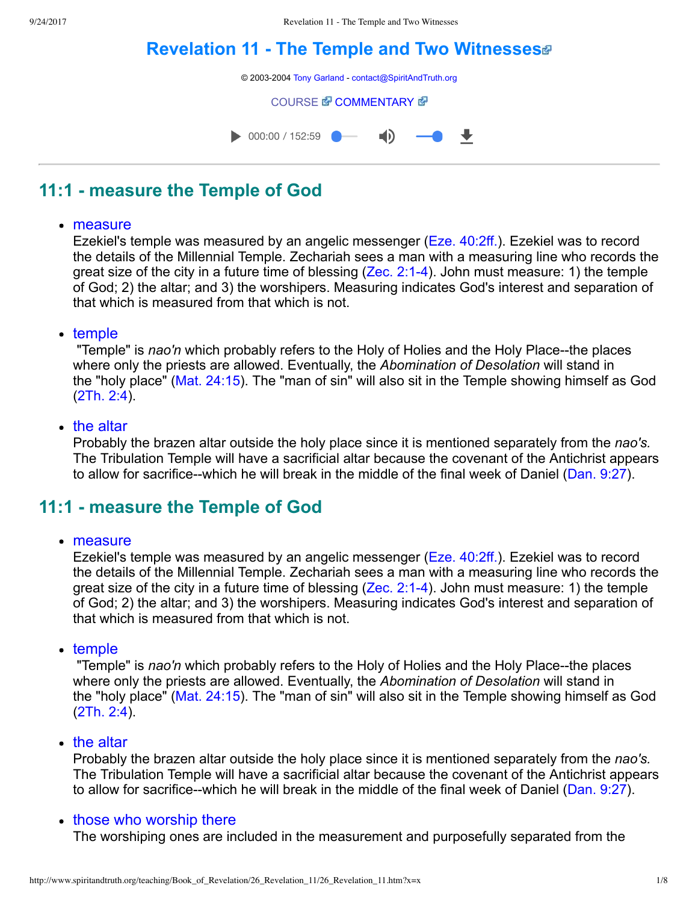# **[Revelation](http://www.spiritandtruth.org/teaching/Book_of_Revelation/26_Revelation_11/index.htm) 11 The Temple and Two Witnesses**



# **11:1 measure the Temple of God**

#### measure

Ezekiel's temple was measured by an angelic messenger [\(Eze. 40:2ff.](http://www.spiritandtruth.org/bibles/nasb/b26c040.htm#Eze._C40V2)). Ezekiel was to record the details of the Millennial Temple. Zechariah sees a man with a measuring line who records the great size of the city in a future time of blessing  $(Zec. 2:1-4)$ . John must measure: 1) the temple of God; 2) the altar; and 3) the worshipers. Measuring indicates God's interest and separation of that which is measured from that which is not.

#### • temple

"Temple" is *nao'n* which probably refers to the Holy of Holies and the Holy Place--the places where only the priests are allowed. Eventually, the *Abomination of Desolation* will stand in the "holy place" [\(Mat. 24:15](http://www.spiritandtruth.org/bibles/nasb/b40c024.htm#Mat._C24V15)). The "man of sin" will also sit in the Temple showing himself as God [\(2Th. 2:4](http://www.spiritandtruth.org/bibles/nasb/b53c002.htm#2Th._C2V4)).

#### • the altar

Probably the brazen altar outside the holy place since it is mentioned separately from the *nao's.* The Tribulation Temple will have a sacrificial altar because the covenant of the Antichrist appears to allow for sacrifice--which he will break in the middle of the final week of Daniel ([Dan. 9:27](http://www.spiritandtruth.org/bibles/nasb/b27c009.htm#Dan._C9V27)).

## **11:1 measure the Temple of God**

#### measure

Ezekiel's temple was measured by an angelic messenger [\(Eze. 40:2ff.](http://www.spiritandtruth.org/bibles/nasb/b26c040.htm#Eze._C40V2)). Ezekiel was to record the details of the Millennial Temple. Zechariah sees a man with a measuring line who records the great size of the city in a future time of blessing  $(Zec. 2:1-4)$ . John must measure: 1) the temple of God; 2) the altar; and 3) the worshipers. Measuring indicates God's interest and separation of that which is measured from that which is not.

 $\cdot$  temple

"Temple" is *nao'n* which probably refers to the Holy of Holies and the Holy Place--the places where only the priests are allowed. Eventually, the *Abomination of Desolation* will stand in the "holy place" [\(Mat. 24:15](http://www.spiritandtruth.org/bibles/nasb/b40c024.htm#Mat._C24V15)). The "man of sin" will also sit in the Temple showing himself as God [\(2Th. 2:4](http://www.spiritandtruth.org/bibles/nasb/b53c002.htm#2Th._C2V4)).

### • the altar

Probably the brazen altar outside the holy place since it is mentioned separately from the *nao's.* The Tribulation Temple will have a sacrificial altar because the covenant of the Antichrist appears to allow for sacrifice--which he will break in the middle of the final week of Daniel ( $Dan. 9:27$ ).

### • those who worship there

The worshiping ones are included in the measurement and purposefully separated from the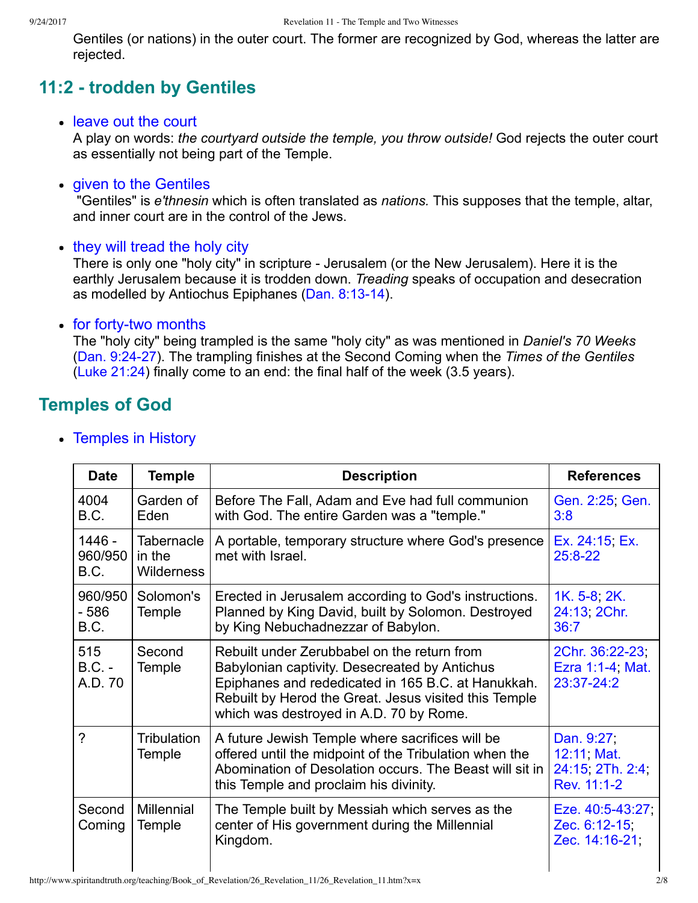Gentiles (or nations) in the outer court. The former are recognized by God, whereas the latter are rejected.

# **11:2 trodden by Gentiles**

### leave out the court

A play on words: *the courtyard outside the temple, you throw outside!* God rejects the outer court as essentially not being part of the Temple.

### • given to the Gentiles

 "Gentiles" is *e'thnesin* which is often translated as *nations.* This supposes that the temple, altar, and inner court are in the control of the Jews.

• they will tread the holy city

There is only one "holy city" in scripture - Jerusalem (or the New Jerusalem). Here it is the earthly Jerusalem because it is trodden down. *Treading* speaks of occupation and desecration as modelled by Antiochus Epiphanes (Dan. 8:13-14).

### • for forty-two months

The "holy city" being trampled is the same "holy city" as was mentioned in *Daniel's 70 Weeks* [\(Dan. 9:2427\)](http://www.spiritandtruth.org/bibles/nasb/b27c009.htm#Dan._C9V24). The trampling finishes at the Second Coming when the *Times of the Gentiles* [\(Luke 21:24\)](http://www.spiritandtruth.org/bibles/nasb/b42c021.htm#Luke_C21V24) finally come to an end: the final half of the week (3.5 years).

## **Temples of God**

| <b>Date</b>                | <b>Temple</b>                             | <b>Description</b>                                                                                                                                                                                                                                     | <b>References</b>                                           |
|----------------------------|-------------------------------------------|--------------------------------------------------------------------------------------------------------------------------------------------------------------------------------------------------------------------------------------------------------|-------------------------------------------------------------|
| 4004<br>B.C.               | Garden of<br>Eden                         | Before The Fall, Adam and Eve had full communion<br>with God. The entire Garden was a "temple."                                                                                                                                                        | Gen. 2:25, Gen.<br>3:8                                      |
| 1446 -<br>960/950<br>B.C.  | Tabernacle<br>in the<br><b>Wilderness</b> | A portable, temporary structure where God's presence<br>met with Israel.                                                                                                                                                                               | Ex. 24:15, Ex.<br>$25:8-22$                                 |
| 960/950<br>$-586$<br>B.C.  | Solomon's<br>Temple                       | Erected in Jerusalem according to God's instructions.<br>Planned by King David, built by Solomon. Destroyed<br>by King Nebuchadnezzar of Babylon.                                                                                                      | 1K. 5-8, 2K.<br>24:13, 2Chr.<br>36:7                        |
| 515<br>$B.C. -$<br>A.D. 70 | Second<br>Temple                          | Rebuilt under Zerubbabel on the return from<br>Babylonian captivity. Desecreated by Antichus<br>Epiphanes and rededicated in 165 B.C. at Hanukkah.<br>Rebuilt by Herod the Great. Jesus visited this Temple<br>which was destroyed in A.D. 70 by Rome. | 2Chr. 36:22-23;<br>Ezra 1:1-4, Mat.<br>23:37-24:2           |
| $\mathcal{P}$              | <b>Tribulation</b><br>Temple              | A future Jewish Temple where sacrifices will be<br>offered until the midpoint of the Tribulation when the<br>Abomination of Desolation occurs. The Beast will sit in<br>this Temple and proclaim his divinity.                                         | Dan. 9:27<br>12:11, Mat.<br>24:15, 2Th. 2:4,<br>Rev. 11:1-2 |
| Second<br>Coming           | <b>Millennial</b><br>Temple               | The Temple built by Messiah which serves as the<br>center of His government during the Millennial<br>Kingdom.                                                                                                                                          | Eze. 40:5-43:27<br>Zec. 6:12-15,<br>Zec. 14:16-21;          |

• Temples in History

 $\mathsf{l}$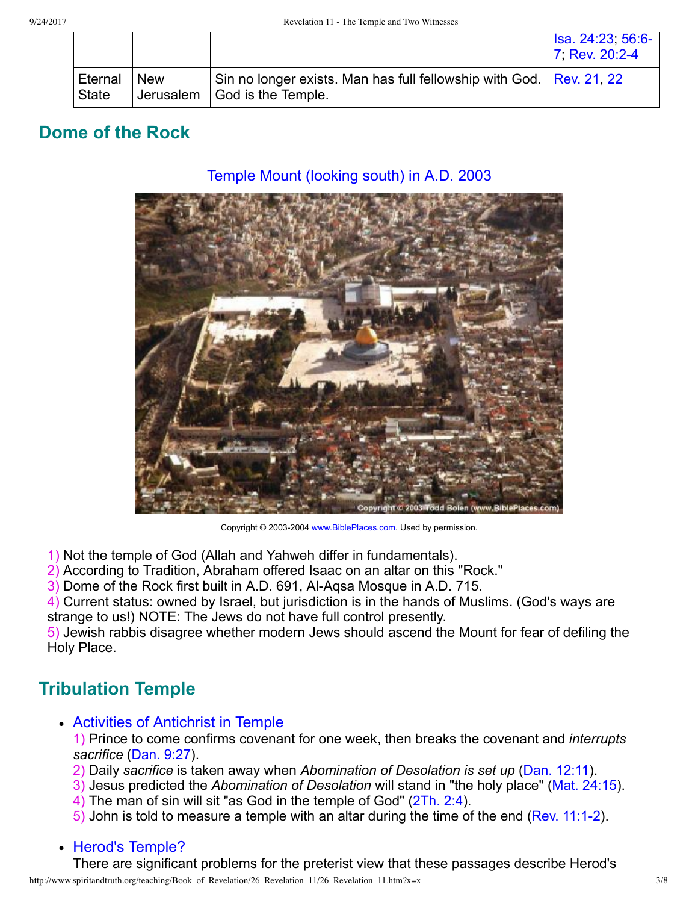|                         |            |                                                                                                         | Isa. 24:23, 56:6-<br>7 Rev. 20:2-4 |
|-------------------------|------------|---------------------------------------------------------------------------------------------------------|------------------------------------|
| Eternal<br><b>State</b> | <b>New</b> | Sin no longer exists. Man has full fellowship with God.   Rev. 21, 22<br>Jerusalem   God is the Temple. |                                    |

# **Dome of the Rock**

### Temple Mount (looking south) in A.D. 2003



Copyright © 2003-2004 [www.BiblePlaces.com](http://www.bibleplaces.com/). Used by permission.

- 1) Not the temple of God (Allah and Yahweh differ in fundamentals).
- 2) According to Tradition, Abraham offered Isaac on an altar on this "Rock."

3) Dome of the Rock first built in A.D. 691, Al-Agsa Mosque in A.D. 715.

4) Current status: owned by Israel, but jurisdiction is in the hands of Muslims. (God's ways are strange to us!) NOTE: The Jews do not have full control presently.

5) Jewish rabbis disagree whether modern Jews should ascend the Mount for fear of defiling the Holy Place.

## **Tribulation Temple**

Activities of Antichrist in Temple

1) Prince to come confirms covenant for one week, then breaks the covenant and *interrupts sacrifice* [\(Dan. 9:27\)](http://www.spiritandtruth.org/bibles/nasb/b27c009.htm#Dan._C9V27).

- 2) Daily *sacrifice* is taken away when *Abomination of Desolation is set up* [\(Dan. 12:11](http://www.spiritandtruth.org/bibles/nasb/b27c012.htm#Dan._C12V11)).
- 3) Jesus predicted the *Abomination of Desolation* will stand in "the holy place" [\(Mat. 24:15](http://www.spiritandtruth.org/bibles/nasb/b40c024.htm#Mat._C24V15)).
- 4) The man of sin will sit "as God in the temple of God" [\(2Th. 2:4](http://www.spiritandtruth.org/bibles/nasb/b53c002.htm#2Th._C2V4)).
- 5) John is told to measure a temple with an altar during the time of the end [\(Rev. 11:12\)](http://www.spiritandtruth.org/bibles/nasb/b66c011.htm#Rev._C11V1).

### • Herod's Temple?

There are significant problems for the preterist view that these passages describe Herod's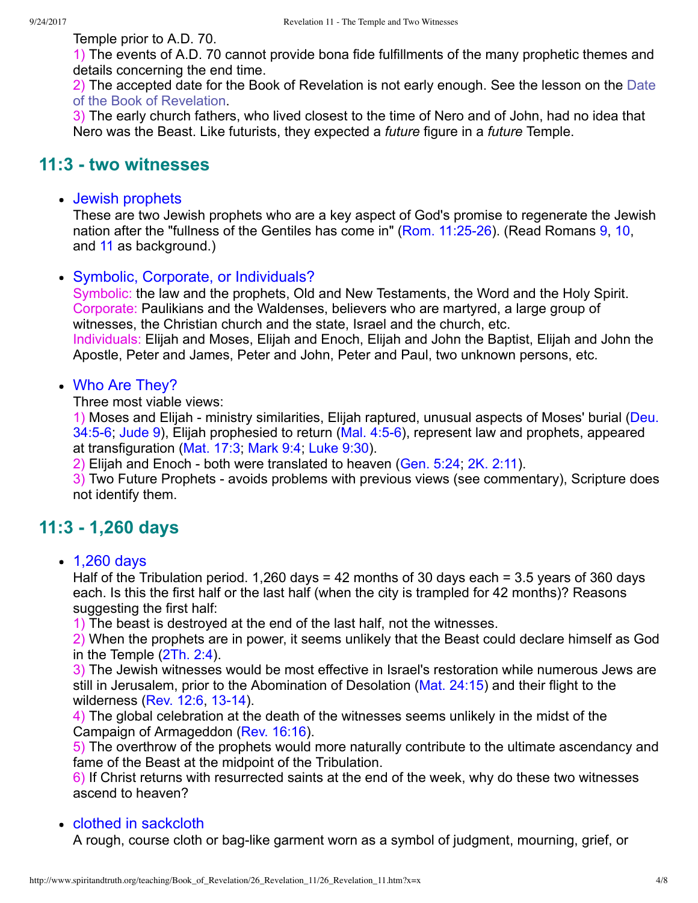Temple prior to A.D. 70.

1) The events of A.D. 70 cannot provide bona fide fulfillments of the many prophetic themes and details concerning the end time.

[2\) The accepted date for the Book of Revelation is not early enough. See the lesson on the Date](http://www.spiritandtruth.org/teaching/Book_of_Revelation/06_introduction/index.htm) of the Book of Revelation.

3) The early church fathers, who lived closest to the time of Nero and of John, had no idea that Nero was the Beast. Like futurists, they expected a *future* figure in a *future* Temple.

### **11:3 two witnesses**

### • Jewish prophets

These are two Jewish prophets who are a key aspect of God's promise to regenerate the Jewish nation after the "fullness of the Gentiles has come in" (Rom. 11:25-26). (Read Romans [9,](http://www.spiritandtruth.org/bibles/nasb/b45c009.htm#Rom._C9V1) [10](http://www.spiritandtruth.org/bibles/nasb/b45c010.htm#Rom._C10V1), and [11](http://www.spiritandtruth.org/bibles/nasb/b45c011.htm#Rom._C11V1) as background.)

### • Symbolic, Corporate, or Individuals?

Symbolic: the law and the prophets, Old and New Testaments, the Word and the Holy Spirit. Corporate: Paulikians and the Waldenses, believers who are martyred, a large group of witnesses, the Christian church and the state, Israel and the church, etc. Individuals: Elijah and Moses, Elijah and Enoch, Elijah and John the Baptist, Elijah and John the Apostle, Peter and James, Peter and John, Peter and Paul, two unknown persons, etc.

### • Who Are They?

Three most viable views:

1) Moses and Elijah - ministry similarities, Elijah raptured, unusual aspects of Moses' burial (Deu. 34:5-6; [Jude 9\)](http://www.spiritandtruth.org/bibles/nasb/b65c001.htm#Jude_C1V9), Elijah prophesied to return (Mal. 4:5-6), represent law and prophets, appeared at transfiguration ([Mat. 17:3;](http://www.spiritandtruth.org/bibles/nasb/b40c017.htm#Mat._C17V3) [Mark 9:4](http://www.spiritandtruth.org/bibles/nasb/b41c009.htm#Mark_C9V4); [Luke 9:30\)](http://www.spiritandtruth.org/bibles/nasb/b42c009.htm#Luke_C9V30).

2) Elijah and Enoch - both were translated to heaven (Gen. 5:24, [2K. 2:11](http://www.spiritandtruth.org/bibles/nasb/b12c002.htm#2K._C2V11)).

3) Two Future Prophets - avoids problems with previous views (see commentary), Scripture does not identify them.

## **11:3 1,260 days**

• 1,260 days

Half of the Tribulation period. 1,260 days = 42 months of 30 days each = 3.5 years of 360 days each. Is this the first half or the last half (when the city is trampled for 42 months)? Reasons suggesting the first half:

1) The beast is destroyed at the end of the last half, not the witnesses.

2) When the prophets are in power, it seems unlikely that the Beast could declare himself as God in the Temple ([2Th. 2:4\)](http://www.spiritandtruth.org/bibles/nasb/b53c002.htm#2Th._C2V4).

3) The Jewish witnesses would be most effective in Israel's restoration while numerous Jews are still in Jerusalem, prior to the Abomination of Desolation ([Mat. 24:15](http://www.spiritandtruth.org/bibles/nasb/b40c024.htm#Mat._C24V15)) and their flight to the wilderness  $(Rev. 12:6, 13-14)$  $(Rev. 12:6, 13-14)$ .

4) The global celebration at the death of the witnesses seems unlikely in the midst of the Campaign of Armageddon ([Rev. 16:16\)](http://www.spiritandtruth.org/bibles/nasb/b66c016.htm#Rev._C16V16).

5) The overthrow of the prophets would more naturally contribute to the ultimate ascendancy and fame of the Beast at the midpoint of the Tribulation.

6) If Christ returns with resurrected saints at the end of the week, why do these two witnesses ascend to heaven?

### • clothed in sackcloth

A rough, course cloth or bag-like garment worn as a symbol of judgment, mourning, grief, or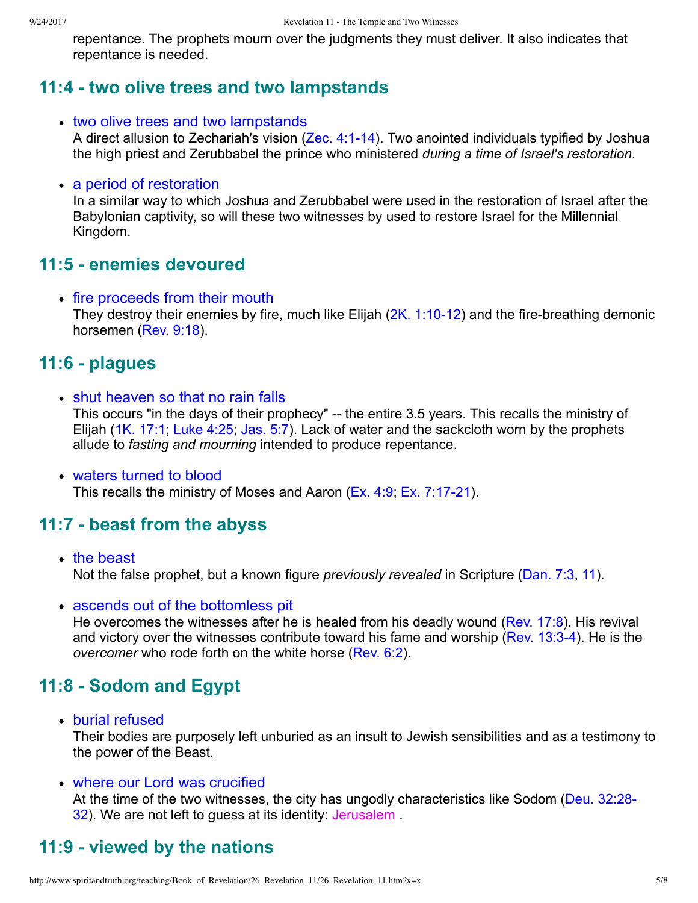repentance. The prophets mourn over the judgments they must deliver. It also indicates that repentance is needed.

### **11:4 two olive trees and two lampstands**

• two olive trees and two lampstands

A direct allusion to Zechariah's vision (Zec. 4:1-14). Two anointed individuals typified by Joshua the high priest and Zerubbabel the prince who ministered *during a time of Israel's restoration*.

#### • a period of restoration

In a similar way to which Joshua and Zerubbabel were used in the restoration of Israel after the Babylonian captivity, so will these two witnesses by used to restore Israel for the Millennial Kingdom.

### **11:5 enemies devoured**

• fire proceeds from their mouth They destroy their enemies by fire, much like Elijah  $(2K. 1:10-12)$  and the fire-breathing demonic horsemen ([Rev. 9:18](http://www.spiritandtruth.org/bibles/nasb/b66c009.htm#Rev._C9V18)).

### **11:6 plagues**

- shut heaven so that no rain falls This occurs "in the days of their prophecy" -- the entire 3.5 years. This recalls the ministry of Elijah ([1K. 17:1;](http://www.spiritandtruth.org/bibles/nasb/b11c017.htm#1K._C17V1) [Luke 4:25;](http://www.spiritandtruth.org/bibles/nasb/b42c004.htm#Luke_C4V25) [Jas. 5:7\)](http://www.spiritandtruth.org/bibles/nasb/b59c005.htm#Jas._C5V7). Lack of water and the sackcloth worn by the prophets allude to *fasting and mourning* intended to produce repentance.
- waters turned to blood This recalls the ministry of Moses and Aaron ([Ex. 4:9](http://www.spiritandtruth.org/bibles/nasb/b02c004.htm#Ex._C4V9); Ex. 7:17-21).

### **11:7 beast from the abyss**

- the beast Not the false prophet, but a known figure *previously revealed* in Scripture ([Dan. 7:3,](http://www.spiritandtruth.org/bibles/nasb/b27c007.htm#Dan._C7V3) [11](http://www.spiritandtruth.org/bibles/nasb/b27c007.htm#Dan._C7V11)).
- ascends out of the bottomless pit

He overcomes the witnesses after he is healed from his deadly wound ([Rev. 17:8](http://www.spiritandtruth.org/bibles/nasb/b66c017.htm#Rev._C17V8)). His revival and victory over the witnesses contribute toward his fame and worship (Rev. 13:3-4). He is the *overcomer* who rode forth on the white horse ([Rev. 6:2\)](http://www.spiritandtruth.org/bibles/nasb/b66c006.htm#Rev._C6V2).

## **11:8 Sodom and Egypt**

burial refused

Their bodies are purposely left unburied as an insult to Jewish sensibilities and as a testimony to the power of the Beast.

### where our Lord was crucified

[At the time of the two witnesses, the city has ungodly characteristics like Sodom \(Deu. 32:28](http://www.spiritandtruth.org/bibles/nasb/b05c032.htm#Deu._C32V28)-32). We are not left to guess at its identity: Jerusalem .

# **11:9 viewed by the nations**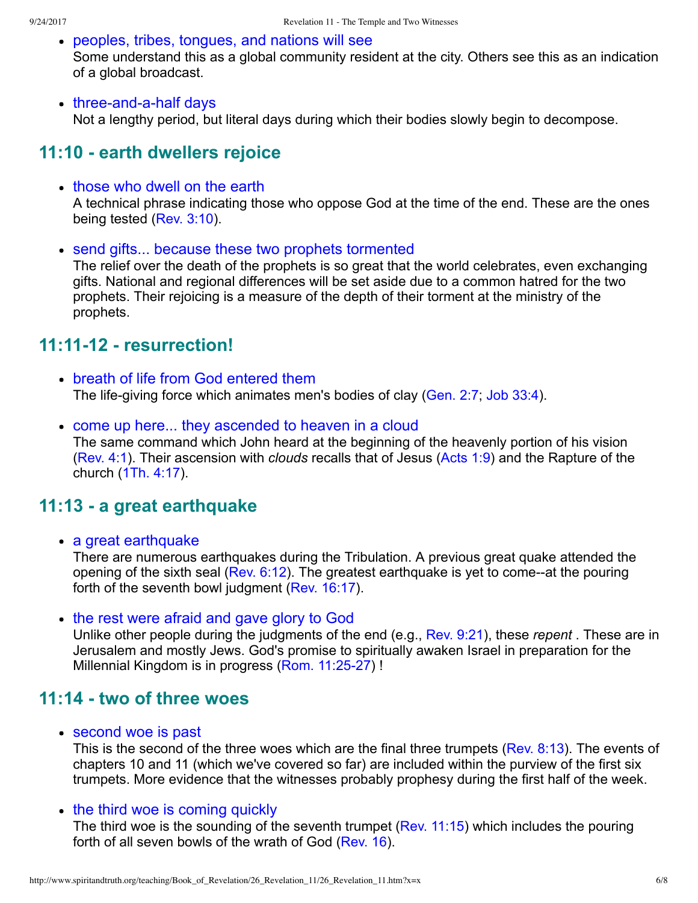- peoples, tribes, tongues, and nations will see Some understand this as a global community resident at the city. Others see this as an indication of a global broadcast.
- three-and-a-half days Not a lengthy period, but literal days during which their bodies slowly begin to decompose.

# **11:10 earth dwellers rejoice**

• those who dwell on the earth

A technical phrase indicating those who oppose God at the time of the end. These are the ones being tested ([Rev. 3:10](http://www.spiritandtruth.org/bibles/nasb/b66c003.htm#Rev._C3V10)).

• send gifts... because these two prophets tormented

The relief over the death of the prophets is so great that the world celebrates, even exchanging gifts. National and regional differences will be set aside due to a common hatred for the two prophets. Their rejoicing is a measure of the depth of their torment at the ministry of the prophets.

# **11:1112 resurrection!**

- breath of life from God entered them The life-giving force which animates men's bodies of clay [\(Gen. 2:7](http://www.spiritandtruth.org/bibles/nasb/b01c002.htm#Gen._C2V7); [Job 33:4\)](http://www.spiritandtruth.org/bibles/nasb/b18c033.htm#Job_C33V4).
- come up here... they ascended to heaven in a cloud The same command which John heard at the beginning of the heavenly portion of his vision [\(Rev. 4:1\)](http://www.spiritandtruth.org/bibles/nasb/b66c004.htm#Rev._C4V1). Their ascension with *clouds* recalls that of Jesus ([Acts 1:9](http://www.spiritandtruth.org/bibles/nasb/b44c001.htm#Acts_C1V9)) and the Rapture of the church ([1Th. 4:17](http://www.spiritandtruth.org/bibles/nasb/b52c004.htm#1Th._C4V17)).

## **11:13 a great earthquake**

• a great earthquake

There are numerous earthquakes during the Tribulation. A previous great quake attended the opening of the sixth seal (Rev.  $6:12$ ). The greatest earthquake is yet to come--at the pouring forth of the seventh bowl judgment ([Rev. 16:17\)](http://www.spiritandtruth.org/bibles/nasb/b66c016.htm#Rev._C16V17).

• the rest were afraid and gave glory to God

Unlike other people during the judgments of the end (e.g., [Rev. 9:21](http://www.spiritandtruth.org/bibles/nasb/b66c009.htm#Rev._C9V21)), these *repent* . These are in Jerusalem and mostly Jews. God's promise to spiritually awaken Israel in preparation for the Millennial Kingdom is in progress (Rom. 11:25-27) !

## **11:14 two of three woes**

• second woe is past

This is the second of the three woes which are the final three trumpets ([Rev. 8:13](http://www.spiritandtruth.org/bibles/nasb/b66c008.htm#Rev._C8V13)). The events of chapters 10 and 11 (which we've covered so far) are included within the purview of the first six trumpets. More evidence that the witnesses probably prophesy during the first half of the week.

• the third woe is coming quickly

The third woe is the sounding of the seventh trumpet [\(Rev. 11:15](http://www.spiritandtruth.org/bibles/nasb/b66c011.htm#Rev._C11V15)) which includes the pouring forth of all seven bowls of the wrath of God [\(Rev. 16\)](http://www.spiritandtruth.org/bibles/nasb/b66c016.htm#Rev._C16V1).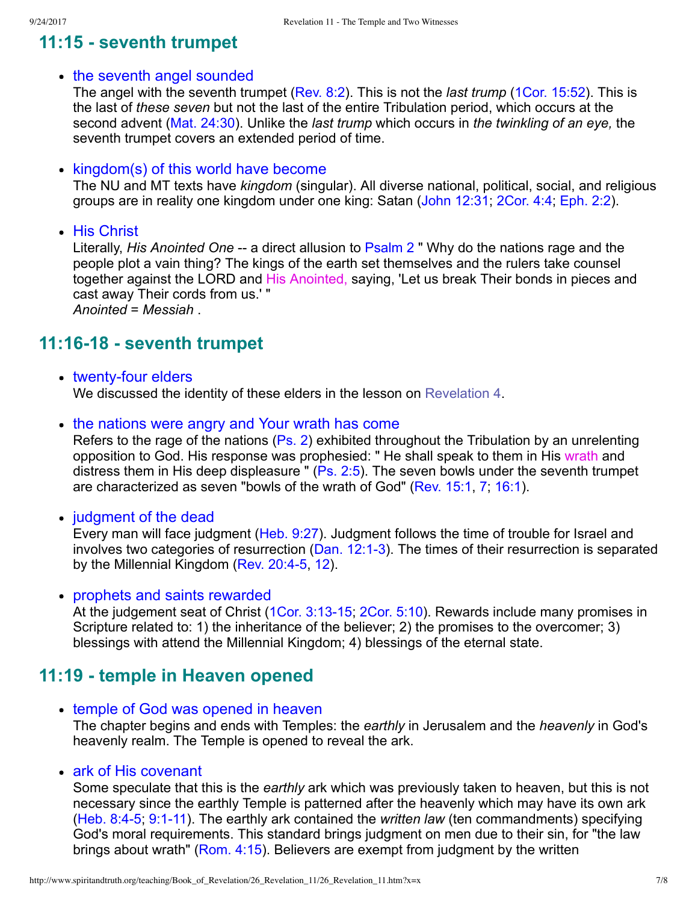# **11:15 seventh trumpet**

### • the seventh angel sounded

The angel with the seventh trumpet ([Rev. 8:2\)](http://www.spiritandtruth.org/bibles/nasb/b66c008.htm#Rev._C8V2). This is not the *last trump* [\(1Cor. 15:52\)](http://www.spiritandtruth.org/bibles/nasb/b46c015.htm#1Cor._C15V52). This is the last of *these seven* but not the last of the entire Tribulation period, which occurs at the second advent ([Mat. 24:30](http://www.spiritandtruth.org/bibles/nasb/b40c024.htm#Mat._C24V30)). Unlike the *last trump* which occurs in *the twinkling of an eye,* the seventh trumpet covers an extended period of time.

### • kingdom(s) of this world have become

The NU and MT texts have *kingdom* (singular). All diverse national, political, social, and religious groups are in reality one kingdom under one king: Satan ([John 12:31;](http://www.spiritandtruth.org/bibles/nasb/b43c012.htm#John_C12V31) [2Cor. 4:4](http://www.spiritandtruth.org/bibles/nasb/b47c004.htm#2Cor._C4V4); [Eph. 2:2](http://www.spiritandtruth.org/bibles/nasb/b49c002.htm#Eph._C2V2)).

• His Christ

Literally, *His Anointed One* -- a direct allusion to [Psalm 2](http://www.spiritandtruth.org/bibles/nasb/b19c002.htm#Ps._C2V1) " Why do the nations rage and the people plot a vain thing? The kings of the earth set themselves and the rulers take counsel together against the LORD and His Anointed, saying, 'Let us break Their bonds in pieces and cast away Their cords from us.' " *Anointed* = *Messiah* .

## **11:1618 seventh trumpet**

• twenty-four elders

We discussed the identity of these elders in the lesson on [Revelation 4](http://www.spiritandtruth.org/teaching/Book_of_Revelation/19_Revelation_4/index.htm).

• the nations were angry and Your wrath has come

Refers to the rage of the nations ([Ps. 2](http://www.spiritandtruth.org/bibles/nasb/b19c002.htm#Ps._C2V1)) exhibited throughout the Tribulation by an unrelenting opposition to God. His response was prophesied: " He shall speak to them in His wrath and distress them in His deep displeasure " ([Ps. 2:5\)](http://www.spiritandtruth.org/bibles/nasb/b19c002.htm#Ps._C2V5). The seven bowls under the seventh trumpet are characterized as seven "bowls of the wrath of God" ([Rev. 15:1](http://www.spiritandtruth.org/bibles/nasb/b66c015.htm#Rev._C15V1), [7](http://www.spiritandtruth.org/bibles/nasb/b66c015.htm#Rev._C15V7); [16:1](http://www.spiritandtruth.org/bibles/nasb/b66c016.htm#Rev._C16V1)).

• judgment of the dead

Every man will face judgment ([Heb. 9:27](http://www.spiritandtruth.org/bibles/nasb/b58c009.htm#Heb._C9V27)). Judgment follows the time of trouble for Israel and involves two categories of resurrection ([Dan. 12:13\)](http://www.spiritandtruth.org/bibles/nasb/b27c012.htm#Dan._C12V1). The times of their resurrection is separated by the Millennial Kingdom (Rev. 20:4-5, [12](http://www.spiritandtruth.org/bibles/nasb/b66c020.htm#Rev._C20V12)).

prophets and saints rewarded

At the judgement seat of Christ (1Cor.  $3:13-15$ , 2Cor.  $5:10$ ). Rewards include many promises in Scripture related to: 1) the inheritance of the believer; 2) the promises to the overcomer; 3) blessings with attend the Millennial Kingdom; 4) blessings of the eternal state.

## **11:19 temple in Heaven opened**

- temple of God was opened in heaven The chapter begins and ends with Temples: the *earthly* in Jerusalem and the *heavenly* in God's heavenly realm. The Temple is opened to reveal the ark.
- ark of His covenant

Some speculate that this is the *earthly* ark which was previously taken to heaven, but this is not necessary since the earthly Temple is patterned after the heavenly which may have its own ark (Heb. 8:4-5, 9:1-11). The earthly ark contained the *written law* (ten commandments) specifying God's moral requirements. This standard brings judgment on men due to their sin, for "the law brings about wrath" [\(Rom. 4:15\)](http://www.spiritandtruth.org/bibles/nasb/b45c004.htm#Rom._C4V15). Believers are exempt from judgment by the written